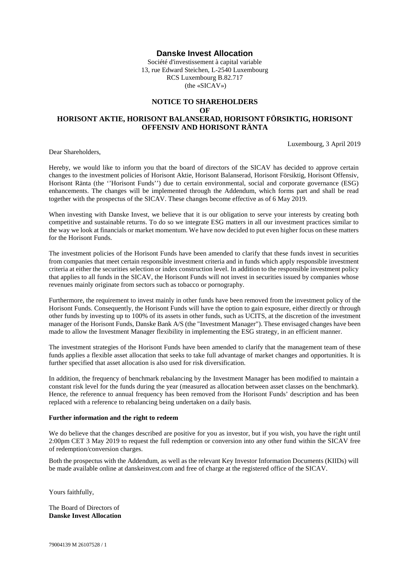## **Danske Invest Allocation**

Société d'investissement à capital variable 13, rue Edward Steichen, L-2540 Luxembourg RCS Luxembourg B.82.717 (the «SICAV»)

## **NOTICE TO SHAREHOLDERS OF HORISONT AKTIE, HORISONT BALANSERAD, HORISONT FÖRSIKTIG, HORISONT OFFENSIV AND HORISONT RÄNTA**

Luxembourg, 3 April 2019

Dear Shareholders,

Hereby, we would like to inform you that the board of directors of the SICAV has decided to approve certain changes to the investment policies of Horisont Aktie, Horisont Balanserad, Horisont Försiktig, Horisont Offensiv, Horisont Ränta (the ''Horisont Funds'') due to certain environmental, social and corporate governance (ESG) enhancements. The changes will be implemented through the Addendum, which forms part and shall be read together with the prospectus of the SICAV. These changes become effective as of 6 May 2019.

When investing with Danske Invest, we believe that it is our obligation to serve your interests by creating both competitive and sustainable returns. To do so we integrate ESG matters in all our investment practices similar to the way we look at financials or market momentum. We have now decided to put even higher focus on these matters for the Horisont Funds.

The investment policies of the Horisont Funds have been amended to clarify that these funds invest in securities from companies that meet certain responsible investment criteria and in funds which apply responsible investment criteria at either the securities selection or index construction level. In addition to the responsible investment policy that applies to all funds in the SICAV, the Horisont Funds will not invest in securities issued by companies whose revenues mainly originate from sectors such as tobacco or pornography.

Furthermore, the requirement to invest mainly in other funds have been removed from the investment policy of the Horisont Funds. Consequently, the Horisont Funds will have the option to gain exposure, either directly or through other funds by investing up to 100% of its assets in other funds, such as UCITS, at the discretion of the investment manager of the Horisont Funds, Danske Bank A/S (the "Investment Manager"). These envisaged changes have been made to allow the Investment Manager flexibility in implementing the ESG strategy, in an efficient manner.

The investment strategies of the Horisont Funds have been amended to clarify that the management team of these funds applies a flexible asset allocation that seeks to take full advantage of market changes and opportunities. It is further specified that asset allocation is also used for risk diversification.

In addition, the frequency of benchmark rebalancing by the Investment Manager has been modified to maintain a constant risk level for the funds during the year (measured as allocation between asset classes on the benchmark). Hence, the reference to annual frequency has been removed from the Horisont Funds' description and has been replaced with a reference to rebalancing being undertaken on a daily basis.

## **Further information and the right to redeem**

We do believe that the changes described are positive for you as investor, but if you wish, you have the right until 2:00pm CET 3 May 2019 to request the full redemption or conversion into any other fund within the SICAV free of redemption/conversion charges.

Both the prospectus with the Addendum, as well as the relevant Key Investor Information Documents (KIIDs) will be made available online at danskeinvest.com and free of charge at the registered office of the SICAV.

Yours faithfully,

The Board of Directors of **Danske Invest Allocation**